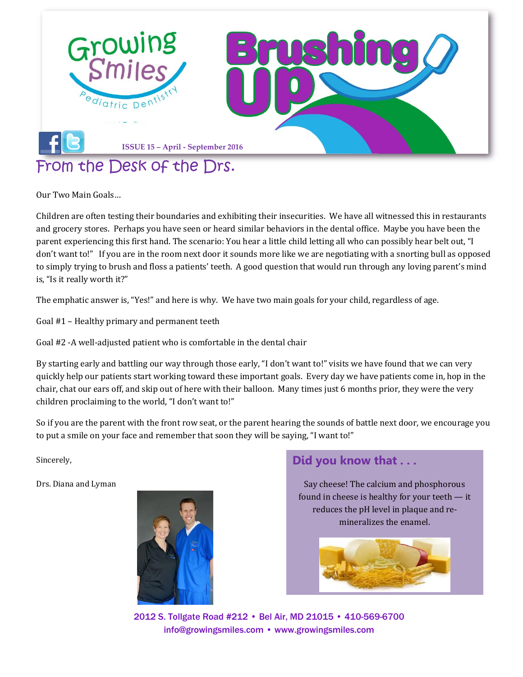

Our Two Main Goals…

Children are often testing their boundaries and exhibiting their insecurities. We have all witnessed this in restaurants and grocery stores. Perhaps you have seen or heard similar behaviors in the dental office. Maybe you have been the parent experiencing this first hand. The scenario: You hear a little child letting all who can possibly hear belt out, "I don't want to!" If you are in the room next door it sounds more like we are negotiating with a snorting bull as opposed to simply trying to brush and floss a patients' teeth. A good question that would run through any loving parent's mind is, "Is it really worth it?"

The emphatic answer is, "Yes!" and here is why. We have two main goals for your child, regardless of age.

Goal #1 – Healthy primary and permanent teeth

Goal #2 -A well-adjusted patient who is comfortable in the dental chair

By starting early and battling our way through those early, "I don't want to!" visits we have found that we can very quickly help our patients start working toward these important goals. Every day we have patients come in, hop in the chair, chat our ears off, and skip out of here with their balloon. Many times just 6 months prior, they were the very children proclaiming to the world, "I don't want to!"

So if you are the parent with the front row seat, or the parent hearing the sounds of battle next door, we encourage you to put a smile on your face and remember that soon they will be saying, "I want to!"

Sincerely,

Drs. Diana and Lyman



### **Did you know that . . .**

Say cheese! The calcium and phosphorous found in cheese is healthy for your teeth — it reduces the pH level in plaque and remineralizes the enamel.



2012 S. Tollgate Road #212 • Bel Air, MD 21015 • 410-569-6700 [info@growingsmiles.com](mailto:info@growingsmiles.com) • [www.growingsmiles.com](http://www.growingsmiles.com/)